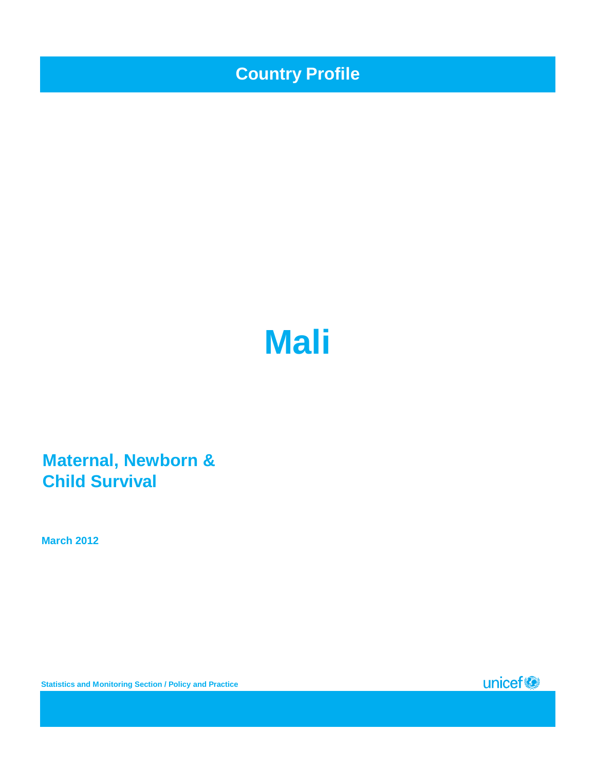**Country Profile**

# **Mali**

**Maternal, Newborn & Child Survival**

**March 2012**

**Statistics and Monitoring Section / Policy and Practice**

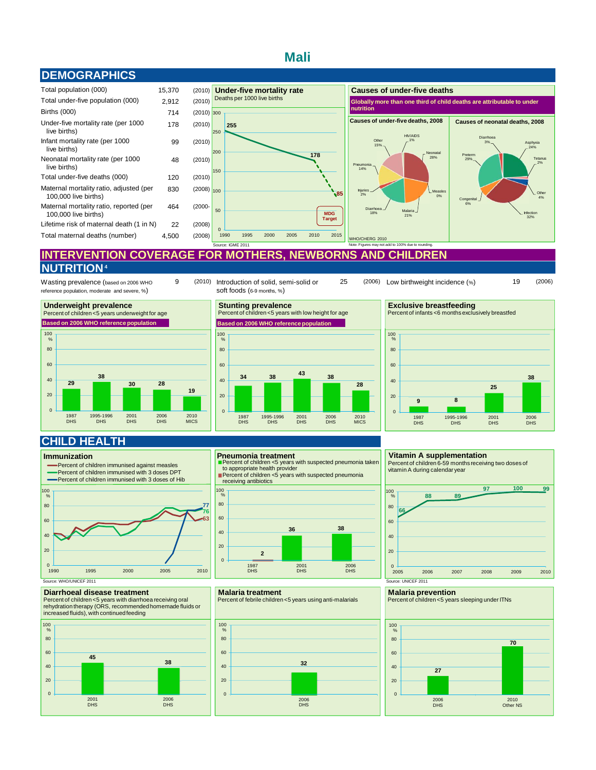## **Mali**





## **INTERVENTION COVERAGE FOR MOTHERS, NEWBORNS AND CHILDREN NUTRITION 4**

Wasting prevalence (based on 2006 WHO reference population, moderate and severe, %)







9 (2010) Introduction of solid, semi-solid or 25 (2006) Low birthweight incidence (%) 19 (2006) (2006) Low birthweight incidence (%)



## **CHILD HEALTH**

#### **Immunization**



## **Diarrhoeal disease treatment**

Percent of children <5 years with diarrhoea receiving oral rehydration therapy (ORS, recommended homemade fluids or increased fluids), with continued feeding



#### **Pneumonia treatment**

Percent of children <5 years with suspected pneumonia taken to appropriate health provider Percent of children <5 years with suspected pneumonia

receiving antibiotics



#### **Malaria treatment**

Percent of febrile children <5 years using anti-malarials



#### **Vitamin A supplementation**

Percent of children 6-59 months receiving two doses of vitamin A during calendar year



#### **Malaria prevention**

Percent of children <5 years sleeping under ITNs

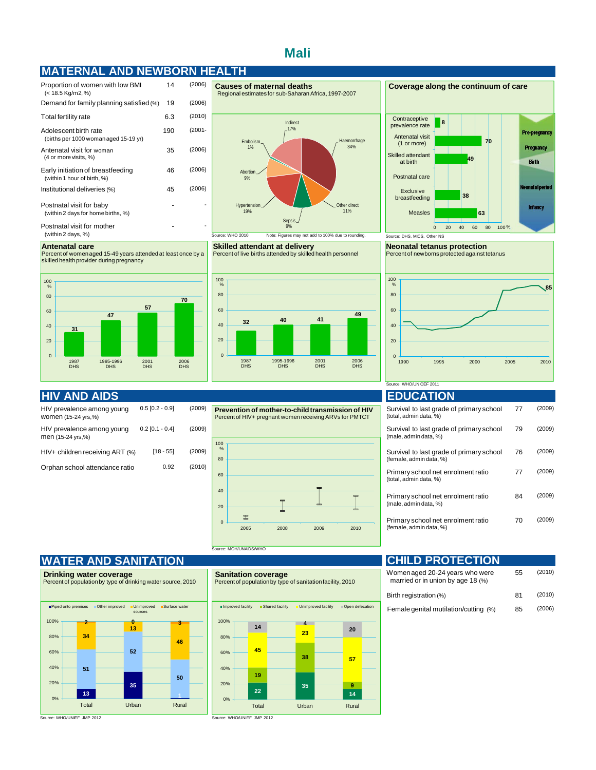## **Mali**

## **MATERNAL AND NEWBORN HEALTH**

| Proportion of women with low BMI<br>(< 18.5 Kg/m2, %)            | 14  | (2006)    |
|------------------------------------------------------------------|-----|-----------|
| Demand for family planning satisfied (%)                         | 19  | (2006)    |
| Total fertility rate                                             | 6.3 | (2010)    |
| Adolescent birth rate<br>(births per 1000 woman aged 15-19 yr)   | 190 | $(2001 -$ |
| Antenatal visit for woman<br>(4 or more visits, %)               | 35  | (2006)    |
| Early initiation of breastfeeding<br>(within 1 hour of birth, %) | 46  | (2006)    |
| Institutional deliveries (%)                                     | 45  | (2006)    |
| Postnatal visit for baby<br>(within 2 days for home births, %)   |     |           |
| Postnatal visit for mother<br>(within 2 days, %)                 |     |           |

Percent of women aged 15-49 years attended at least once by a skilled health provider during pregnancy

Haemorrhage 34% Other direct 11% Hypertensio 19% Abortion\_ 9% Embolism 1% Indirect 17% 06) 06)

Regional estimates for sub-Saharan Africa, 1997-2007

Sepsis 9% Source: WHO 2010 Note: Figures may not add to 100% due to rounding. Source: DHS, MICS, Other NS

**Skilled attendant at delivery** Percent of live births attended by skilled health personnel



**Causes of maternal deaths Coverage along the continuum of care Contraceptive 8** prevalence rate Pre-pregnancy Antenatal visit **70** (1 or more) Pregnancy Skilled attendant **49** Birth at birth Postnatal care atal period Exclusive **38** breastfeeding **Infancy 63** Measles 0 20 40 60 80 100 %

> **Neonatal tetanus protection** Percent of newborns protected against tetanus



## **HIV AND AIDS EDUCATION**

**31**

**Antenatal care**

1987 DHS

| HIV prevalence among young<br>women (15-24 yrs,%) | $0.5$ [0.2 - 0.9] |   |
|---------------------------------------------------|-------------------|---|
| HIV prevalence among young<br>men (15-24 yrs,%)   | $0.2$ [0.1 - 0.4] |   |
| HIV+ children receiving ART (%)                   | $[18 - 55]$       | ( |
| Orphan school attendance ratio                    | 0.92              |   |

**47**

1995-1996 DHS

**57**

2001 DHS

**70**

2006 DHS



## Source: WHO/UNICEF 2011

| Survival to last grade of primary school<br>(total, admin data, %)  | 77 | (2009) |
|---------------------------------------------------------------------|----|--------|
| Survival to last grade of primary school<br>(male, admin data, %)   | 79 | (2009) |
| Survival to last grade of primary school<br>(female, admin data, %) | 76 | (2009) |
| Primary school net enrolment ratio<br>(total, admin data, %)        | 77 | (2009) |
| Primary school net enrolment ratio<br>(male, admin data, %)         | 84 | (2009) |
| Primary school net enrolment ratio<br>(female, admin data, %)       | 70 | (2009) |

## **WATER AND SANITATION**



urce: WHO/UNIEF JMP 2012

#### **Sanitation coverage** Percent of population by type of sanitation facility, 2010

| Unimproved facility<br>Open defecation<br>■ Improved facility<br>■ Shared facility |  |       |  |       |  |       |  |  |
|------------------------------------------------------------------------------------|--|-------|--|-------|--|-------|--|--|
| 100%                                                                               |  | 14    |  | 4     |  | 20    |  |  |
| 80%                                                                                |  |       |  | 23    |  |       |  |  |
| 60%                                                                                |  | 45    |  | 38    |  |       |  |  |
| 40%                                                                                |  |       |  |       |  | 57    |  |  |
| 20%                                                                                |  | 19    |  |       |  | 9     |  |  |
| 0%                                                                                 |  | 22    |  | 35    |  | 14    |  |  |
|                                                                                    |  | Total |  | Urban |  | Rural |  |  |

#### **CHILD PROTECTION** 55 (2010) 81 (2010) 85 (2006) Female genital mutilation/cutting (%) Birth registration (%) Women aged 20-24 years who were married or in union by age 18 (%)